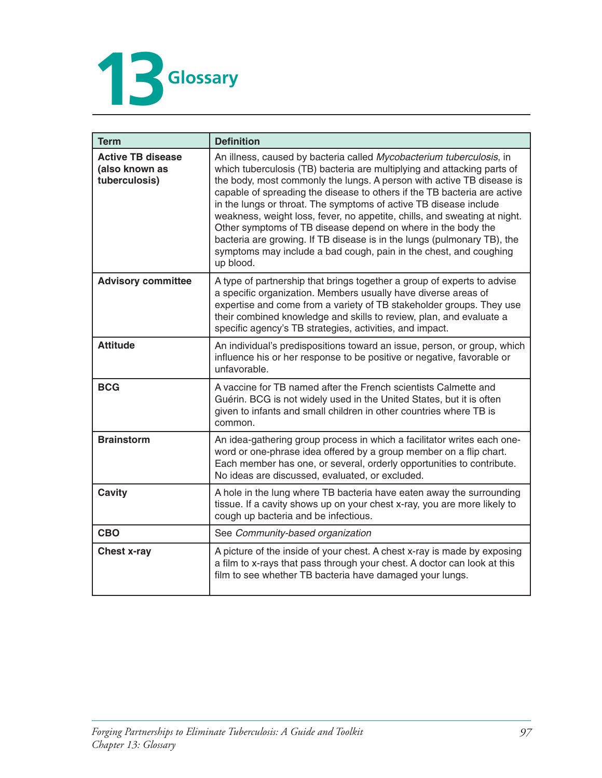

| <b>Term</b>                                                 | <b>Definition</b>                                                                                                                                                                                                                                                                                                                                                                                                                                                                                                                                                                                                                                                                   |
|-------------------------------------------------------------|-------------------------------------------------------------------------------------------------------------------------------------------------------------------------------------------------------------------------------------------------------------------------------------------------------------------------------------------------------------------------------------------------------------------------------------------------------------------------------------------------------------------------------------------------------------------------------------------------------------------------------------------------------------------------------------|
| <b>Active TB disease</b><br>(also known as<br>tuberculosis) | An illness, caused by bacteria called Mycobacterium tuberculosis, in<br>which tuberculosis (TB) bacteria are multiplying and attacking parts of<br>the body, most commonly the lungs. A person with active TB disease is<br>capable of spreading the disease to others if the TB bacteria are active<br>in the lungs or throat. The symptoms of active TB disease include<br>weakness, weight loss, fever, no appetite, chills, and sweating at night.<br>Other symptoms of TB disease depend on where in the body the<br>bacteria are growing. If TB disease is in the lungs (pulmonary TB), the<br>symptoms may include a bad cough, pain in the chest, and coughing<br>up blood. |
| <b>Advisory committee</b>                                   | A type of partnership that brings together a group of experts to advise<br>a specific organization. Members usually have diverse areas of<br>expertise and come from a variety of TB stakeholder groups. They use<br>their combined knowledge and skills to review, plan, and evaluate a<br>specific agency's TB strategies, activities, and impact.                                                                                                                                                                                                                                                                                                                                |
| <b>Attitude</b>                                             | An individual's predispositions toward an issue, person, or group, which<br>influence his or her response to be positive or negative, favorable or<br>unfavorable.                                                                                                                                                                                                                                                                                                                                                                                                                                                                                                                  |
| <b>BCG</b>                                                  | A vaccine for TB named after the French scientists Calmette and<br>Guérin. BCG is not widely used in the United States, but it is often<br>given to infants and small children in other countries where TB is<br>common.                                                                                                                                                                                                                                                                                                                                                                                                                                                            |
| <b>Brainstorm</b>                                           | An idea-gathering group process in which a facilitator writes each one-<br>word or one-phrase idea offered by a group member on a flip chart.<br>Each member has one, or several, orderly opportunities to contribute.<br>No ideas are discussed, evaluated, or excluded.                                                                                                                                                                                                                                                                                                                                                                                                           |
| <b>Cavity</b>                                               | A hole in the lung where TB bacteria have eaten away the surrounding<br>tissue. If a cavity shows up on your chest x-ray, you are more likely to<br>cough up bacteria and be infectious.                                                                                                                                                                                                                                                                                                                                                                                                                                                                                            |
| <b>CBO</b>                                                  | See Community-based organization                                                                                                                                                                                                                                                                                                                                                                                                                                                                                                                                                                                                                                                    |
| <b>Chest x-ray</b>                                          | A picture of the inside of your chest. A chest x-ray is made by exposing<br>a film to x-rays that pass through your chest. A doctor can look at this<br>film to see whether TB bacteria have damaged your lungs.                                                                                                                                                                                                                                                                                                                                                                                                                                                                    |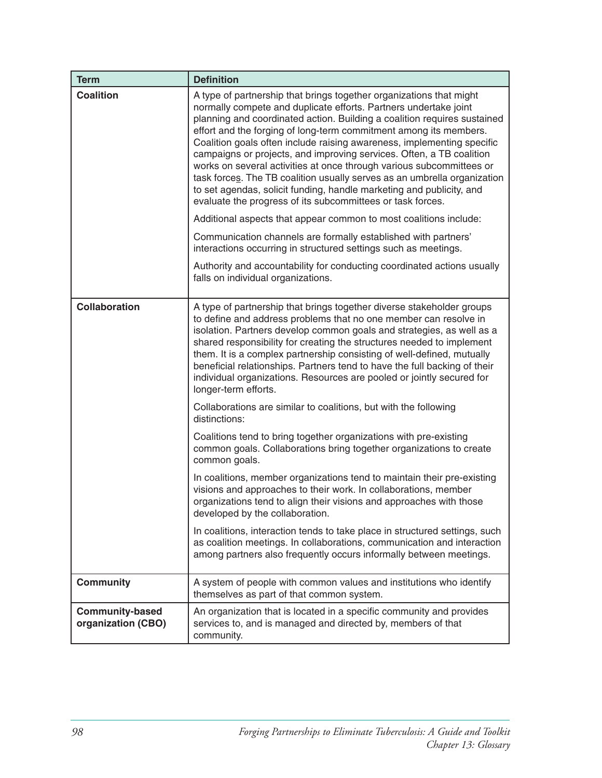| <b>Term</b>                                  | <b>Definition</b>                                                                                                                                                                                                                                                                                                                                                                                                                                                                                                                                                                                                                                                                                                                                                                                                                                                                                                                                                                                                                                               |
|----------------------------------------------|-----------------------------------------------------------------------------------------------------------------------------------------------------------------------------------------------------------------------------------------------------------------------------------------------------------------------------------------------------------------------------------------------------------------------------------------------------------------------------------------------------------------------------------------------------------------------------------------------------------------------------------------------------------------------------------------------------------------------------------------------------------------------------------------------------------------------------------------------------------------------------------------------------------------------------------------------------------------------------------------------------------------------------------------------------------------|
| <b>Coalition</b>                             | A type of partnership that brings together organizations that might<br>normally compete and duplicate efforts. Partners undertake joint<br>planning and coordinated action. Building a coalition requires sustained<br>effort and the forging of long-term commitment among its members.<br>Coalition goals often include raising awareness, implementing specific<br>campaigns or projects, and improving services. Often, a TB coalition<br>works on several activities at once through various subcommittees or<br>task forces. The TB coalition usually serves as an umbrella organization<br>to set agendas, solicit funding, handle marketing and publicity, and<br>evaluate the progress of its subcommittees or task forces.<br>Additional aspects that appear common to most coalitions include:<br>Communication channels are formally established with partners'<br>interactions occurring in structured settings such as meetings.<br>Authority and accountability for conducting coordinated actions usually<br>falls on individual organizations. |
| <b>Collaboration</b>                         | A type of partnership that brings together diverse stakeholder groups                                                                                                                                                                                                                                                                                                                                                                                                                                                                                                                                                                                                                                                                                                                                                                                                                                                                                                                                                                                           |
|                                              | to define and address problems that no one member can resolve in<br>isolation. Partners develop common goals and strategies, as well as a<br>shared responsibility for creating the structures needed to implement<br>them. It is a complex partnership consisting of well-defined, mutually<br>beneficial relationships. Partners tend to have the full backing of their<br>individual organizations. Resources are pooled or jointly secured for<br>longer-term efforts.                                                                                                                                                                                                                                                                                                                                                                                                                                                                                                                                                                                      |
|                                              | Collaborations are similar to coalitions, but with the following<br>distinctions:                                                                                                                                                                                                                                                                                                                                                                                                                                                                                                                                                                                                                                                                                                                                                                                                                                                                                                                                                                               |
|                                              | Coalitions tend to bring together organizations with pre-existing<br>common goals. Collaborations bring together organizations to create<br>common goals.                                                                                                                                                                                                                                                                                                                                                                                                                                                                                                                                                                                                                                                                                                                                                                                                                                                                                                       |
|                                              | In coalitions, member organizations tend to maintain their pre-existing<br>visions and approaches to their work. In collaborations, member<br>organizations tend to align their visions and approaches with those<br>developed by the collaboration.                                                                                                                                                                                                                                                                                                                                                                                                                                                                                                                                                                                                                                                                                                                                                                                                            |
|                                              | In coalitions, interaction tends to take place in structured settings, such<br>as coalition meetings. In collaborations, communication and interaction<br>among partners also frequently occurs informally between meetings.                                                                                                                                                                                                                                                                                                                                                                                                                                                                                                                                                                                                                                                                                                                                                                                                                                    |
| <b>Community</b>                             | A system of people with common values and institutions who identify<br>themselves as part of that common system.                                                                                                                                                                                                                                                                                                                                                                                                                                                                                                                                                                                                                                                                                                                                                                                                                                                                                                                                                |
| <b>Community-based</b><br>organization (CBO) | An organization that is located in a specific community and provides<br>services to, and is managed and directed by, members of that<br>community.                                                                                                                                                                                                                                                                                                                                                                                                                                                                                                                                                                                                                                                                                                                                                                                                                                                                                                              |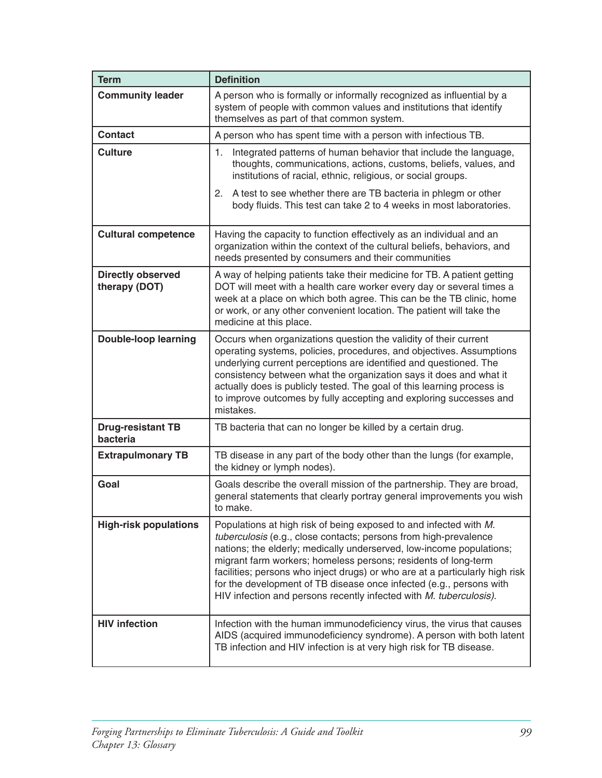| <b>Term</b>                               | <b>Definition</b>                                                                                                                                                                                                                                                                                                                                                                                                                                                                                            |
|-------------------------------------------|--------------------------------------------------------------------------------------------------------------------------------------------------------------------------------------------------------------------------------------------------------------------------------------------------------------------------------------------------------------------------------------------------------------------------------------------------------------------------------------------------------------|
| <b>Community leader</b>                   | A person who is formally or informally recognized as influential by a<br>system of people with common values and institutions that identify<br>themselves as part of that common system.                                                                                                                                                                                                                                                                                                                     |
| <b>Contact</b>                            | A person who has spent time with a person with infectious TB.                                                                                                                                                                                                                                                                                                                                                                                                                                                |
| <b>Culture</b>                            | Integrated patterns of human behavior that include the language,<br>1.<br>thoughts, communications, actions, customs, beliefs, values, and<br>institutions of racial, ethnic, religious, or social groups.                                                                                                                                                                                                                                                                                                   |
|                                           | A test to see whether there are TB bacteria in phlegm or other<br>2.<br>body fluids. This test can take 2 to 4 weeks in most laboratories.                                                                                                                                                                                                                                                                                                                                                                   |
| <b>Cultural competence</b>                | Having the capacity to function effectively as an individual and an<br>organization within the context of the cultural beliefs, behaviors, and<br>needs presented by consumers and their communities                                                                                                                                                                                                                                                                                                         |
| <b>Directly observed</b><br>therapy (DOT) | A way of helping patients take their medicine for TB. A patient getting<br>DOT will meet with a health care worker every day or several times a<br>week at a place on which both agree. This can be the TB clinic, home<br>or work, or any other convenient location. The patient will take the<br>medicine at this place.                                                                                                                                                                                   |
| <b>Double-loop learning</b>               | Occurs when organizations question the validity of their current<br>operating systems, policies, procedures, and objectives. Assumptions<br>underlying current perceptions are identified and questioned. The<br>consistency between what the organization says it does and what it<br>actually does is publicly tested. The goal of this learning process is<br>to improve outcomes by fully accepting and exploring successes and<br>mistakes.                                                             |
| <b>Drug-resistant TB</b><br>bacteria      | TB bacteria that can no longer be killed by a certain drug.                                                                                                                                                                                                                                                                                                                                                                                                                                                  |
| <b>Extrapulmonary TB</b>                  | TB disease in any part of the body other than the lungs (for example,<br>the kidney or lymph nodes).                                                                                                                                                                                                                                                                                                                                                                                                         |
| Goal                                      | Goals describe the overall mission of the partnership. They are broad,<br>general statements that clearly portray general improvements you wish<br>to make.                                                                                                                                                                                                                                                                                                                                                  |
| <b>High-risk populations</b>              | Populations at high risk of being exposed to and infected with M.<br>tuberculosis (e.g., close contacts; persons from high-prevalence<br>nations; the elderly; medically underserved, low-income populations;<br>migrant farm workers; homeless persons; residents of long-term<br>facilities; persons who inject drugs) or who are at a particularly high risk<br>for the development of TB disease once infected (e.g., persons with<br>HIV infection and persons recently infected with M. tuberculosis). |
| <b>HIV infection</b>                      | Infection with the human immunodeficiency virus, the virus that causes<br>AIDS (acquired immunodeficiency syndrome). A person with both latent<br>TB infection and HIV infection is at very high risk for TB disease.                                                                                                                                                                                                                                                                                        |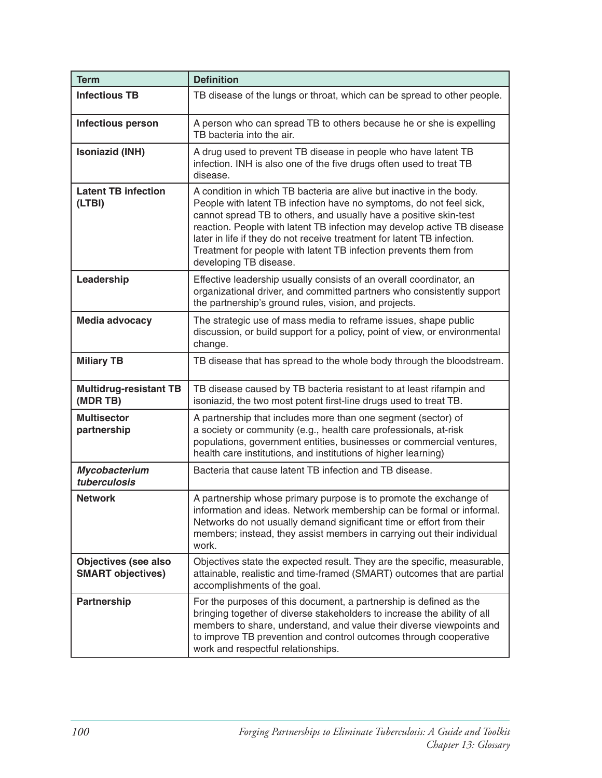| <b>Term</b>                                             | <b>Definition</b>                                                                                                                                                                                                                                                                                                                                                                                                                                                    |
|---------------------------------------------------------|----------------------------------------------------------------------------------------------------------------------------------------------------------------------------------------------------------------------------------------------------------------------------------------------------------------------------------------------------------------------------------------------------------------------------------------------------------------------|
| <b>Infectious TB</b>                                    | TB disease of the lungs or throat, which can be spread to other people.                                                                                                                                                                                                                                                                                                                                                                                              |
| Infectious person                                       | A person who can spread TB to others because he or she is expelling<br>TB bacteria into the air.                                                                                                                                                                                                                                                                                                                                                                     |
| Isoniazid (INH)                                         | A drug used to prevent TB disease in people who have latent TB<br>infection. INH is also one of the five drugs often used to treat TB<br>disease.                                                                                                                                                                                                                                                                                                                    |
| <b>Latent TB infection</b><br>(LTBI)                    | A condition in which TB bacteria are alive but inactive in the body.<br>People with latent TB infection have no symptoms, do not feel sick,<br>cannot spread TB to others, and usually have a positive skin-test<br>reaction. People with latent TB infection may develop active TB disease<br>later in life if they do not receive treatment for latent TB infection.<br>Treatment for people with latent TB infection prevents them from<br>developing TB disease. |
| Leadership                                              | Effective leadership usually consists of an overall coordinator, an<br>organizational driver, and committed partners who consistently support<br>the partnership's ground rules, vision, and projects.                                                                                                                                                                                                                                                               |
| <b>Media advocacy</b>                                   | The strategic use of mass media to reframe issues, shape public<br>discussion, or build support for a policy, point of view, or environmental<br>change.                                                                                                                                                                                                                                                                                                             |
| <b>Miliary TB</b>                                       | TB disease that has spread to the whole body through the bloodstream.                                                                                                                                                                                                                                                                                                                                                                                                |
| <b>Multidrug-resistant TB</b><br>(MDR TB)               | TB disease caused by TB bacteria resistant to at least rifampin and<br>isoniazid, the two most potent first-line drugs used to treat TB.                                                                                                                                                                                                                                                                                                                             |
| <b>Multisector</b><br>partnership                       | A partnership that includes more than one segment (sector) of<br>a society or community (e.g., health care professionals, at-risk<br>populations, government entities, businesses or commercial ventures,<br>health care institutions, and institutions of higher learning)                                                                                                                                                                                          |
| Mycobacterium<br>tuberculosis                           | Bacteria that cause latent TB infection and TB disease.                                                                                                                                                                                                                                                                                                                                                                                                              |
| <b>Network</b>                                          | A partnership whose primary purpose is to promote the exchange of<br>information and ideas. Network membership can be formal or informal.<br>Networks do not usually demand significant time or effort from their<br>members; instead, they assist members in carrying out their individual<br>work.                                                                                                                                                                 |
| <b>Objectives (see also</b><br><b>SMART objectives)</b> | Objectives state the expected result. They are the specific, measurable,<br>attainable, realistic and time-framed (SMART) outcomes that are partial<br>accomplishments of the goal.                                                                                                                                                                                                                                                                                  |
| Partnership                                             | For the purposes of this document, a partnership is defined as the<br>bringing together of diverse stakeholders to increase the ability of all<br>members to share, understand, and value their diverse viewpoints and<br>to improve TB prevention and control outcomes through cooperative<br>work and respectful relationships.                                                                                                                                    |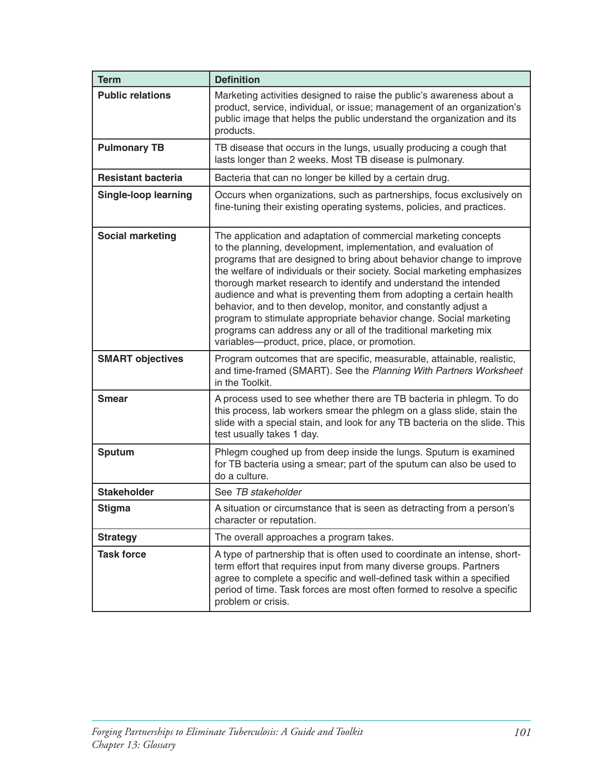| <b>Term</b>                 | <b>Definition</b>                                                                                                                                                                                                                                                                                                                                                                                                                                                                                                                                                                                                                                                                                |
|-----------------------------|--------------------------------------------------------------------------------------------------------------------------------------------------------------------------------------------------------------------------------------------------------------------------------------------------------------------------------------------------------------------------------------------------------------------------------------------------------------------------------------------------------------------------------------------------------------------------------------------------------------------------------------------------------------------------------------------------|
| <b>Public relations</b>     | Marketing activities designed to raise the public's awareness about a<br>product, service, individual, or issue; management of an organization's<br>public image that helps the public understand the organization and its<br>products.                                                                                                                                                                                                                                                                                                                                                                                                                                                          |
| <b>Pulmonary TB</b>         | TB disease that occurs in the lungs, usually producing a cough that<br>lasts longer than 2 weeks. Most TB disease is pulmonary.                                                                                                                                                                                                                                                                                                                                                                                                                                                                                                                                                                  |
| <b>Resistant bacteria</b>   | Bacteria that can no longer be killed by a certain drug.                                                                                                                                                                                                                                                                                                                                                                                                                                                                                                                                                                                                                                         |
| <b>Single-loop learning</b> | Occurs when organizations, such as partnerships, focus exclusively on<br>fine-tuning their existing operating systems, policies, and practices.                                                                                                                                                                                                                                                                                                                                                                                                                                                                                                                                                  |
| <b>Social marketing</b>     | The application and adaptation of commercial marketing concepts<br>to the planning, development, implementation, and evaluation of<br>programs that are designed to bring about behavior change to improve<br>the welfare of individuals or their society. Social marketing emphasizes<br>thorough market research to identify and understand the intended<br>audience and what is preventing them from adopting a certain health<br>behavior, and to then develop, monitor, and constantly adjust a<br>program to stimulate appropriate behavior change. Social marketing<br>programs can address any or all of the traditional marketing mix<br>variables-product, price, place, or promotion. |
| <b>SMART objectives</b>     | Program outcomes that are specific, measurable, attainable, realistic,<br>and time-framed (SMART). See the Planning With Partners Worksheet<br>in the Toolkit.                                                                                                                                                                                                                                                                                                                                                                                                                                                                                                                                   |
| <b>Smear</b>                | A process used to see whether there are TB bacteria in phlegm. To do<br>this process, lab workers smear the phlegm on a glass slide, stain the<br>slide with a special stain, and look for any TB bacteria on the slide. This<br>test usually takes 1 day.                                                                                                                                                                                                                                                                                                                                                                                                                                       |
| <b>Sputum</b>               | Phlegm coughed up from deep inside the lungs. Sputum is examined<br>for TB bacteria using a smear; part of the sputum can also be used to<br>do a culture.                                                                                                                                                                                                                                                                                                                                                                                                                                                                                                                                       |
| <b>Stakeholder</b>          | See TB stakeholder                                                                                                                                                                                                                                                                                                                                                                                                                                                                                                                                                                                                                                                                               |
| <b>Stigma</b>               | A situation or circumstance that is seen as detracting from a person's<br>character or reputation.                                                                                                                                                                                                                                                                                                                                                                                                                                                                                                                                                                                               |
| <b>Strategy</b>             | The overall approaches a program takes.                                                                                                                                                                                                                                                                                                                                                                                                                                                                                                                                                                                                                                                          |
| <b>Task force</b>           | A type of partnership that is often used to coordinate an intense, short-<br>term effort that requires input from many diverse groups. Partners<br>agree to complete a specific and well-defined task within a specified<br>period of time. Task forces are most often formed to resolve a specific<br>problem or crisis.                                                                                                                                                                                                                                                                                                                                                                        |